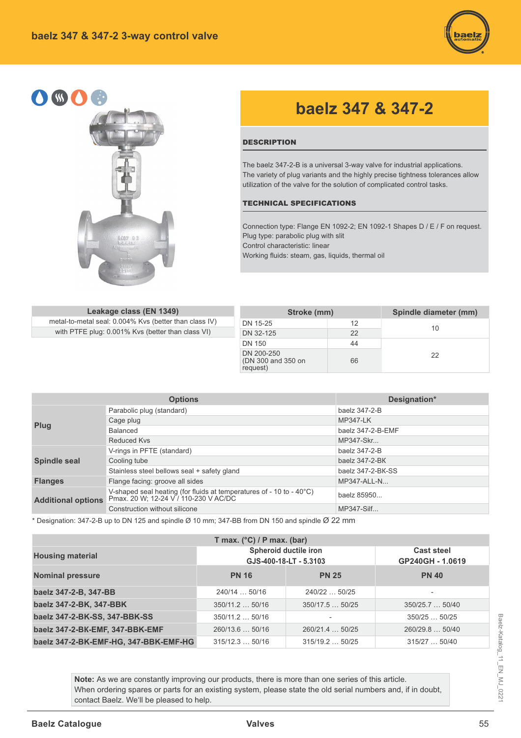



## **baelz 347 & 347-2**

## **DESCRIPTION**

The baelz 347-2-B is a universal 3-way valve for industrial applications. The variety of plug variants and the highly precise tightness tolerances allow utilization of the valve for the solution of complicated control tasks.

## TECHNICAL SPECIFICATIONS

Connection type: Flange EN 1092-2; EN 1092-1 Shapes D / E / F on request. Plug type: parabolic plug with slit Control characteristic: linear Working fluids: steam, gas, liquids, thermal oil

| Leakage class (EN 1349)                                | Stroke (mm)                                  |    | Spindle diameter (mm) |
|--------------------------------------------------------|----------------------------------------------|----|-----------------------|
| metal-to-metal seal: 0.004% Kvs (better than class IV) | DN 15-25                                     |    |                       |
| with PTFE plug: 0.001% Kvs (better than class VI)      | DN 32-125                                    | 22 | 10                    |
|                                                        | DN 150                                       | 44 |                       |
|                                                        | DN 200-250<br>(DN 300 and 350 on<br>request) | 66 | 22                    |

|                           | <b>Options</b>                                                                                                | Designation*      |
|---------------------------|---------------------------------------------------------------------------------------------------------------|-------------------|
|                           | Parabolic plug (standard)                                                                                     | baelz 347-2-B     |
|                           | Cage plug                                                                                                     | <b>MP347-LK</b>   |
| Plug                      | Balanced                                                                                                      | baelz 347-2-B-EMF |
|                           | Reduced Kys                                                                                                   | MP347-Skr         |
|                           | V-rings in PFTE (standard)                                                                                    | baelz 347-2-B     |
| <b>Spindle seal</b>       | Cooling tube                                                                                                  | baelz 347-2-BK    |
|                           | Stainless steel bellows seal + safety gland                                                                   | baelz 347-2-BK-SS |
| <b>Flanges</b>            | Flange facing: groove all sides                                                                               | MP347-ALL-N       |
| <b>Additional options</b> | V-shaped seal heating (for fluids at temperatures of - 10 to - 40°C)<br>Pmax. 20 W; 12-24 V / 110-230 V AC/DC | baelz 85950       |
|                           | Construction without silicone                                                                                 | MP347-Silf        |

\* Designation: 347-2-B up to DN 125 and spindle  $\varnothing$  10 mm; 347-BB from DN 150 and spindle  $\varnothing$  22 mm

| T max. $(^{\circ}C)$ / P max. (bar)   |                  |                                                 |                                       |  |  |  |  |  |  |  |  |  |  |
|---------------------------------------|------------------|-------------------------------------------------|---------------------------------------|--|--|--|--|--|--|--|--|--|--|
| <b>Housing material</b>               |                  | Spheroid ductile iron<br>GJS-400-18-LT - 5.3103 | <b>Cast steel</b><br>GP240GH - 1.0619 |  |  |  |  |  |  |  |  |  |  |
| <b>Nominal pressure</b>               | <b>PN 16</b>     | <b>PN 25</b>                                    | <b>PN 40</b>                          |  |  |  |  |  |  |  |  |  |  |
| baelz 347-2-B, 347-BB                 | 240/14  50/16    | 240/22  50/25                                   | $\overline{\phantom{a}}$              |  |  |  |  |  |  |  |  |  |  |
| baelz 347-2-BK, 347-BBK               | $350/11.2$ 50/16 | 350/17.550/25                                   | 350/25.7  50/40                       |  |  |  |  |  |  |  |  |  |  |
| baelz 347-2-BK-SS, 347-BBK-SS         | $350/11.2$ 50/16 | $\overline{\phantom{0}}$                        | 350/2550/25                           |  |  |  |  |  |  |  |  |  |  |
| baelz 347-2-BK-EMF, 347-BBK-EMF       | 260/13.6  50/16  | 260/21.4  50/25                                 | 260/29.8  50/40                       |  |  |  |  |  |  |  |  |  |  |
| baelz 347-2-BK-EMF-HG, 347-BBK-EMF-HG | 315/12.350/16    | 315/19.250/25                                   | 315/2750/40                           |  |  |  |  |  |  |  |  |  |  |

Note: As we are constantly improving our products, there is more than one series of this article. When ordering spares or parts for an existing system, please state the old serial numbers and, if in doubt, contact Baelz. We'll be pleased to help.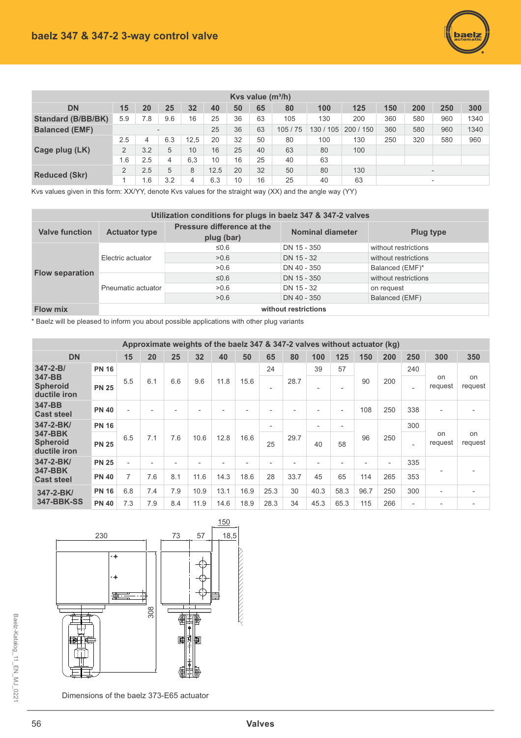

| Kys value $(m^3/h)$       |                |     |     |      |      |    |    |        |           |         |     |                          |                          |      |
|---------------------------|----------------|-----|-----|------|------|----|----|--------|-----------|---------|-----|--------------------------|--------------------------|------|
| <b>DN</b>                 | 15             | 20  | 25  | 32   | 40   | 50 | 65 | 80     | 100       | 125     | 150 | 200                      | 250                      | 300  |
| <b>Standard (B/BB/BK)</b> | 5.9            | 7.8 | 9.6 | 16   | 25   | 36 | 63 | 105    | 130       | 200     | 360 | 580                      | 960                      | 1340 |
| <b>Balanced (EMF)</b>     |                |     |     |      | 25   | 36 | 63 | 105/75 | 130 / 105 | 200/150 | 360 | 580                      | 960                      | 1340 |
|                           | 2.5            | 4   | 6.3 | 12,5 | 20   | 32 | 50 | 80     | 100       | 130     | 250 | 320                      | 580                      | 960  |
| Cage plug (LK)            | 2              | 3.2 | 5   | 10   | 16   | 25 | 40 | 63     | 80        | 100     |     |                          |                          |      |
|                           | 6.،            | 2.5 | 4   | 6,3  | 10   | 16 | 25 | 40     | 63        |         |     |                          |                          |      |
| <b>Reduced (Skr)</b>      | $\overline{2}$ | 2.5 | 5   | 8    | 12.5 | 20 | 32 | 50     | 80        | 130     |     | $\overline{\phantom{0}}$ |                          |      |
|                           |                | 1.6 | 3.2 | 4    | 6.3  | 10 | 16 | 25     | 40        | 63      |     |                          | $\overline{\phantom{a}}$ |      |

Kvs values given in this form: XX/YY, denote Kvs values for the straight way (XX) and the angle way (YY)

|                        |                      | Utilization conditions for plugs in baelz 347 & 347-2 valves |                         |                      |
|------------------------|----------------------|--------------------------------------------------------------|-------------------------|----------------------|
| <b>Valve function</b>  | <b>Actuator type</b> | Pressure difference at the<br>plug (bar)                     | <b>Nominal diameter</b> | <b>Plug type</b>     |
|                        |                      | ≤0.6                                                         | DN 15 - 350             | without restrictions |
|                        | Electric actuator    | >0.6                                                         | DN 15 - 32              | without restrictions |
|                        |                      | >0.6                                                         | DN 40 - 350             | Balanced (EMF)*      |
| <b>Flow separation</b> |                      | ≤0.6                                                         | DN 15 - 350             | without restrictions |
|                        | Pneumatic actuator   | >0.6                                                         | DN 15 - 32              | on request           |
|                        |                      | >0.6                                                         | DN 40 - 350             | Balanced (EMF)       |
| <b>Flow mix</b>        |                      |                                                              | without restrictions    |                      |

\* Baelz will be pleased to inform you about possible applications with other plug variants

|                                            |              |                          | Approximate weights of the baelz 347 & 347-2 valves without actuator (kg) |                |                          |                          |                          |                          |      |                          |                          |                          |                          |                          |               |               |
|--------------------------------------------|--------------|--------------------------|---------------------------------------------------------------------------|----------------|--------------------------|--------------------------|--------------------------|--------------------------|------|--------------------------|--------------------------|--------------------------|--------------------------|--------------------------|---------------|---------------|
| <b>DN</b>                                  |              | 15                       | 20                                                                        | 25             | 32                       | 40                       | 50                       | 65                       | 80   | 100                      | 125                      | 150                      | 200                      | 250                      | 300           | 350           |
| $347 - 2 - B/$                             | <b>PN 16</b> |                          |                                                                           |                |                          |                          |                          | 24                       |      | 39                       | 57                       |                          |                          | 240                      |               |               |
| 347-BB<br><b>Spheroid</b><br>ductile iron  | <b>PN 25</b> | 5.5                      | 6.1                                                                       | 6.6            | 9.6                      | 11.8                     | 15.6                     | $\overline{\phantom{0}}$ | 28.7 | $\overline{\phantom{a}}$ | $\overline{\phantom{a}}$ | 90                       | 200                      | $\overline{\phantom{a}}$ | on<br>request | on<br>request |
| 347-BB<br><b>Cast steel</b>                | <b>PN 40</b> |                          |                                                                           |                |                          |                          |                          |                          |      |                          | $\overline{\phantom{a}}$ | 108                      | 250                      | 338                      |               |               |
| 347-2-BK/                                  | <b>PN 16</b> |                          |                                                                           |                |                          |                          |                          | $\overline{\phantom{0}}$ |      | $\overline{\phantom{0}}$ | -                        |                          |                          | 300                      |               |               |
| 347-BBK<br><b>Spheroid</b><br>ductile iron | <b>PN 25</b> | 6.5                      | 7.1                                                                       | 7.6            | 10.6                     | 12.8                     | 16.6                     | 25                       | 29.7 | 40                       | 58                       | 96                       | 250                      | $\overline{\phantom{0}}$ | on<br>request | on<br>request |
| 347-2-BK/                                  | <b>PN 25</b> | $\overline{\phantom{0}}$ | $\overline{\phantom{a}}$                                                  | $\overline{a}$ | $\overline{\phantom{0}}$ | $\overline{\phantom{0}}$ | $\overline{\phantom{0}}$ | $\equiv$                 |      |                          | <b>1</b>                 | $\overline{\phantom{a}}$ | $\overline{\phantom{a}}$ | 335                      |               |               |
| 347-BBK<br><b>Cast steel</b>               | <b>PN 40</b> | $\overline{7}$           | 7.6                                                                       | 8.1            | 11.6                     | 14.3                     | 18.6                     | 28                       | 33.7 | 45                       | 65                       | 114                      | 265                      | 353                      |               |               |
| 347-2-BK/                                  | <b>PN 16</b> | 6.8                      | 7.4                                                                       | 7.9            | 10.9                     | 13.1                     | 16.9                     | 25.3                     | 30   | 40.3                     | 58.3                     | 96.7                     | 250                      | 300                      |               |               |
| <b>347-BBK-SS</b>                          | <b>PN 40</b> | 7.3                      | 7.9                                                                       | 8.4            | 11.9                     | 14.6                     | 18.9                     | 28.3                     | 34   | 45.3                     | 65.3                     | 115                      | 266                      | $\overline{\phantom{0}}$ |               |               |



Dimensions of the baelz 373-E65 actuator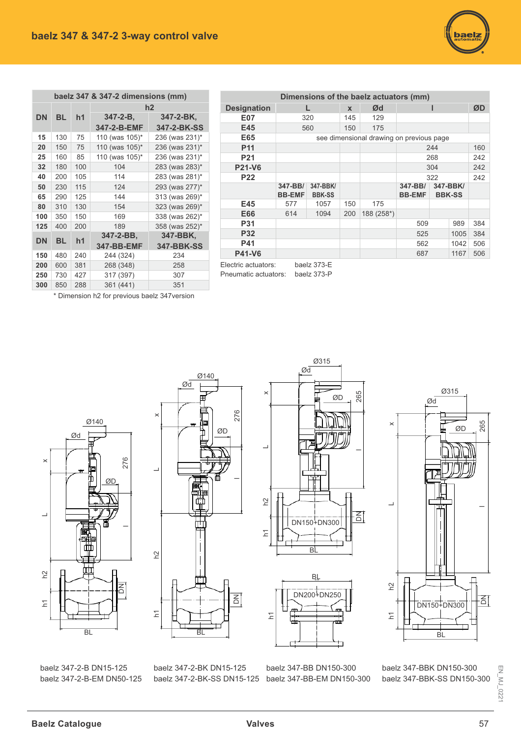

|           |           |                | baelz 347 & 347-2 dimensions (mm) |                   |
|-----------|-----------|----------------|-----------------------------------|-------------------|
|           |           |                |                                   | h2                |
| <b>DN</b> | <b>BL</b> | h <sub>1</sub> | $347 - 2 - B$                     | 347-2-BK,         |
|           |           |                | 347-2-B-EMF                       | 347-2-BK-SS       |
| 15        | 130       | 75             | 110 (was 105)*                    | 236 (was 231)*    |
| 20        | 150       | 75             | 110 (was 105)*                    | 236 (was 231)*    |
| 25        | 160       | 85             | 110 (was 105)*                    | 236 (was 231)*    |
| 32        | 180       | 100            | 104                               | 283 (was 283)*    |
| 40        | 200       | 105            | 114                               | 283 (was 281)*    |
| 50        | 230       | 115            | 124                               | 293 (was 277)*    |
| 65        | 290       | 125            | 144                               | 313 (was 269)*    |
| 80        | 310       | 130            | 154                               | 323 (was 269)*    |
| 100       | 350       | 150            | 169                               | 338 (was 262)*    |
| 125       | 400       | 200            | 189                               | 358 (was 252)*    |
| <b>DN</b> | BL        | h1             | 347-2-BB,                         | 347-BBK,          |
|           |           |                | 347-BB-EMF                        | <b>347-BBK-SS</b> |
| 150       | 480       | 240            | 244 (324)                         | 234               |
| 200       | 600       | 381            | 268 (348)                         | 258               |
| 250       | 730       | 427            | 317 (397)                         | 307               |
| 300       | 850       | 288            | 361 (441)                         | 351               |

| Dimensions of the baelz actuators (mm) |               |                 |              |                                          |               |      |               |     |  |  |  |  |  |  |
|----------------------------------------|---------------|-----------------|--------------|------------------------------------------|---------------|------|---------------|-----|--|--|--|--|--|--|
| <b>Designation</b>                     |               |                 | $\mathbf{x}$ | Ød                                       |               |      |               | ØD  |  |  |  |  |  |  |
| <b>E07</b>                             |               | 320             | 145          | 129                                      |               |      |               |     |  |  |  |  |  |  |
| E45                                    |               | 560             | 150          | 175                                      |               |      |               |     |  |  |  |  |  |  |
| E65                                    |               |                 |              | see dimensional drawing on previous page |               |      |               |     |  |  |  |  |  |  |
| <b>P11</b>                             | 244           |                 |              |                                          |               |      |               |     |  |  |  |  |  |  |
| P <sub>21</sub>                        | 268           |                 |              |                                          |               |      |               |     |  |  |  |  |  |  |
| <b>P21-V6</b>                          |               |                 |              | 304                                      |               | 242  |               |     |  |  |  |  |  |  |
| <b>P22</b>                             |               |                 |              |                                          | 322           |      | 242           |     |  |  |  |  |  |  |
|                                        | 347-BB/       | 347-BBK/        |              |                                          | 347-BB/       |      | 347-BBK/      |     |  |  |  |  |  |  |
|                                        | <b>BB-EMF</b> | <b>BBK-SS</b>   |              |                                          | <b>BB-EMF</b> |      | <b>BBK-SS</b> |     |  |  |  |  |  |  |
| E45                                    | 577           | 1057            | 150          | 175                                      |               |      |               |     |  |  |  |  |  |  |
| E66                                    | 614           | 1094            | 200          | 188 (258*)                               |               |      |               |     |  |  |  |  |  |  |
| P31                                    |               |                 |              |                                          | 509           |      | 989           | 384 |  |  |  |  |  |  |
| <b>P32</b>                             |               |                 |              |                                          | 525           |      | 1005          | 384 |  |  |  |  |  |  |
| P41                                    |               |                 |              |                                          | 562           | 1042 | 506           |     |  |  |  |  |  |  |
| P41-V6                                 |               |                 |              |                                          | 687           |      | 1167          | 506 |  |  |  |  |  |  |
| المتوجب والمتحاول والمناوي والتناقب    |               | $L = -L = 272E$ |              |                                          |               |      |               |     |  |  |  |  |  |  |

Electric actuators: baelz 373-E<br>Pneumatic actuators: baelz 373-P Pneumatic actuators:

\* Dimension h2 for previous baelz 347 version











baelz 347-2-B DN15-125 baelz 347-2-B-EM DN50-125 baelz 347-2-BK DN15-125 baelz 347-2-BK-SS DN15-125

baelz 347-BB DN150-300 baelz 347-BB-EM DN150-300

baelz 347-BBK DN150-300 baelz 347-BBK-SS DN150-300

 $EM$ <sub>MJ</sub> $_0$ 221 EN\_MJ\_022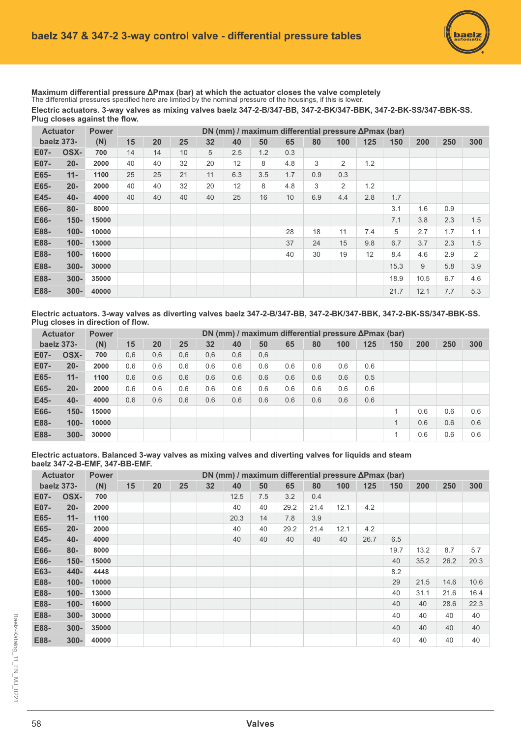Maximum differential pressure ΔPmax (bar) at which the actuator closes the valve completely The differential pressures specified here are limited by the nominal pressure of the housings, if this is lower. Electric actuators. 3-way valves as mixing valves baelz 347-2-B/347-BB, 347-2-BK/347-BBK, 347-2-BK-SS/347-BBK-SS. Plug closes against the flow.

|      | <b>Actuator</b> | <b>Power</b> |    | DN (mm) / maximum differential pressure ΔPmax (bar) |    |    |     |     |     |     |     |     |      |      |     |     |
|------|-----------------|--------------|----|-----------------------------------------------------|----|----|-----|-----|-----|-----|-----|-----|------|------|-----|-----|
|      | baelz 373-      | (N)          | 15 | 20                                                  | 25 | 32 | 40  | 50  | 65  | 80  | 100 | 125 | 150  | 200  | 250 | 300 |
| E07- | OSX-            | 700          | 14 | 14                                                  | 10 | 5  | 2.5 | 1.2 | 0.3 |     |     |     |      |      |     |     |
| E07- | $20 -$          | 2000         | 40 | 40                                                  | 32 | 20 | 12  | 8   | 4.8 | 3   | 2   | 1.2 |      |      |     |     |
| E65- | $11 -$          | 1100         | 25 | 25                                                  | 21 | 11 | 6.3 | 3.5 | 1.7 | 0.9 | 0.3 |     |      |      |     |     |
| E65- | $20 -$          | 2000         | 40 | 40                                                  | 32 | 20 | 12  | 8   | 4.8 | 3   | 2   | 1.2 |      |      |     |     |
| E45- | $40 -$          | 4000         | 40 | 40                                                  | 40 | 40 | 25  | 16  | 10  | 6.9 | 4.4 | 2.8 | 1.7  |      |     |     |
| E66- | $80 -$          | 8000         |    |                                                     |    |    |     |     |     |     |     |     | 3.1  | 1.6  | 0.9 |     |
| E66- | $150 -$         | 15000        |    |                                                     |    |    |     |     |     |     |     |     | 7.1  | 3.8  | 2.3 | 1.5 |
| E88- | $100 -$         | 10000        |    |                                                     |    |    |     |     | 28  | 18  | 11  | 7.4 | 5    | 2.7  | 1.7 | 1.1 |
| E88- | $100 -$         | 13000        |    |                                                     |    |    |     |     | 37  | 24  | 15  | 9.8 | 6.7  | 3.7  | 2.3 | 1.5 |
| E88- | $100 -$         | 16000        |    |                                                     |    |    |     |     | 40  | 30  | 19  | 12  | 8.4  | 4.6  | 2.9 | 2   |
| E88- | $300 -$         | 30000        |    |                                                     |    |    |     |     |     |     |     |     | 15.3 | 9    | 5.8 | 3.9 |
| E88- | $300 -$         | 35000        |    |                                                     |    |    |     |     |     |     |     |     | 18.9 | 10.5 | 6.7 | 4.6 |
| E88- | $300 -$         | 40000        |    |                                                     |    |    |     |     |     |     |     |     | 21.7 | 12.1 | 7.7 | 5.3 |

Electric actuators. 3-way valves as diverting valves baelz 347-2-B/347-BB, 347-2-BK/347-BBK, 347-2-BK-SS/347-BBK-SS. **Plug closes in direction of flow.** 

|      | <b>Actuator</b> | <b>Power</b> |     |     |     |     |     |     |     |     | DN (mm) / maximum differential pressure ΔPmax (bar) |     |     |     |     |     |
|------|-----------------|--------------|-----|-----|-----|-----|-----|-----|-----|-----|-----------------------------------------------------|-----|-----|-----|-----|-----|
|      | baelz 373-      | (N)          | 15  | 20  | 25  | 32  | 40  | 50  | 65  | 80  | 100                                                 | 125 | 150 | 200 | 250 | 300 |
| E07- | OSX-            | 700          | 0,6 | 0,6 | 0,6 | 0,6 | 0,6 | 0,6 |     |     |                                                     |     |     |     |     |     |
| E07- | $20 -$          | 2000         | 0.6 | 0.6 | 0.6 | 0.6 | 0.6 | 0.6 | 0.6 | 0.6 | 0.6                                                 | 0.6 |     |     |     |     |
| E65- | $11 -$          | 1100         | 0.6 | 0.6 | 0.6 | 0.6 | 0.6 | 0.6 | 0.6 | 0.6 | 0.6                                                 | 0.5 |     |     |     |     |
| E65- | $20 -$          | 2000         | 0.6 | 0.6 | 0.6 | 0.6 | 0.6 | 0.6 | 0.6 | 0.6 | 0.6                                                 | 0.6 |     |     |     |     |
| E45- | $40 -$          | 4000         | 0.6 | 0.6 | 0.6 | 0.6 | 0.6 | 0.6 | 0.6 | 0.6 | 0.6                                                 | 0.6 |     |     |     |     |
| E66- | $150 -$         | 15000        |     |     |     |     |     |     |     |     |                                                     |     | 1   | 0.6 | 0.6 | 0.6 |
| E88- | $100 -$         | 10000        |     |     |     |     |     |     |     |     |                                                     |     | 1   | 0.6 | 0.6 | 0.6 |
| E88- | $300 -$         | 30000        |     |     |     |     |     |     |     |     |                                                     |     | 1   | 0.6 | 0.6 | 0.6 |

Electric actuators. Balanced 3-way valves as mixing valves and diverting valves for liquids and steam **baelz 347-2-B-EMF, 347-BB-EMF.**

|      | <b>Actuator</b> | <b>Power</b> |    | DN (mm) / maximum differential pressure $\Delta P$ max (bar)<br>20<br>25<br>32<br>40<br>50<br>250<br>65<br>80<br>100<br>125<br>200<br><b>300</b><br>150<br>12.5<br>7.5<br>3.2<br>0.4<br>40<br>29.2<br>12.1<br>40<br>21.4<br>4.2<br>20.3<br>14<br>7.8<br>3.9 |  |  |    |    |      |      |      |      |      |      |      |      |
|------|-----------------|--------------|----|-------------------------------------------------------------------------------------------------------------------------------------------------------------------------------------------------------------------------------------------------------------|--|--|----|----|------|------|------|------|------|------|------|------|
|      | baelz 373-      | (N)          | 15 |                                                                                                                                                                                                                                                             |  |  |    |    |      |      |      |      |      |      |      |      |
| E07- | OSX-            | 700          |    |                                                                                                                                                                                                                                                             |  |  |    |    |      |      |      |      |      |      |      |      |
| E07- | $20 -$          | 2000         |    |                                                                                                                                                                                                                                                             |  |  |    |    |      |      |      |      |      |      |      |      |
| E65- | $11 -$          | 1100         |    |                                                                                                                                                                                                                                                             |  |  |    |    |      |      |      |      |      |      |      |      |
| E65- | $20 -$          | 2000         |    |                                                                                                                                                                                                                                                             |  |  | 40 | 40 | 29.2 | 21.4 | 12.1 | 4.2  |      |      |      |      |
| E45- | $40 -$          | 4000         |    |                                                                                                                                                                                                                                                             |  |  | 40 | 40 | 40   | 40   | 40   | 26.7 | 6.5  |      |      |      |
| E66- | $80 -$          | 8000         |    |                                                                                                                                                                                                                                                             |  |  |    |    |      |      |      |      | 19.7 | 13.2 | 8.7  | 5.7  |
| E66- | $150 -$         | 15000        |    |                                                                                                                                                                                                                                                             |  |  |    |    |      |      |      |      | 40   | 35.2 | 26.2 | 20.3 |
| E63- | 440-            | 4448         |    |                                                                                                                                                                                                                                                             |  |  |    |    |      |      |      |      | 8.2  |      |      |      |
| E88- | $100 -$         | 10000        |    |                                                                                                                                                                                                                                                             |  |  |    |    |      |      |      |      | 29   | 21.5 | 14.6 | 10.6 |
| E88- | $100 -$         | 13000        |    |                                                                                                                                                                                                                                                             |  |  |    |    |      |      |      |      | 40   | 31.1 | 21.6 | 16.4 |
| E88- | $100 -$         | 16000        |    |                                                                                                                                                                                                                                                             |  |  |    |    |      |      |      |      | 40   | 40   | 28.6 | 22.3 |
| E88- | $300 -$         | 30000        |    |                                                                                                                                                                                                                                                             |  |  |    |    |      |      |      |      | 40   | 40   | 40   | 40   |
| E88- | $300 -$         | 35000        |    |                                                                                                                                                                                                                                                             |  |  |    |    |      |      |      |      | 40   | 40   | 40   | 40   |
| E88- | $300 -$         | 40000        |    |                                                                                                                                                                                                                                                             |  |  |    |    |      |      |      |      | 40   | 40   | 40   | 40   |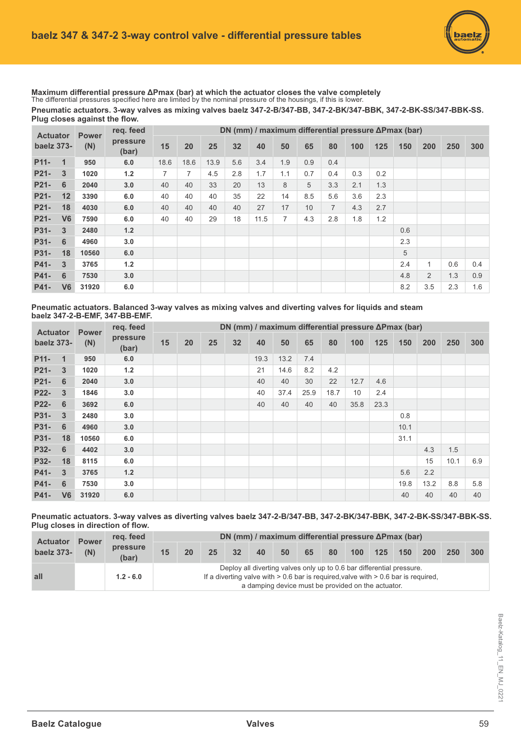Pneumatic actuators. 3-way valves as mixing valves baelz 347-2-B/347-BB, 347-2-BK/347-BBK, 347-2-BK-SS/347-BBK-SS. Plug closes against the flow. Maximum differential pressure ΔPmax (bar) at which the actuator closes the valve completely The differential pressures specified here are limited by the nominal pressure of the housings, if this is lower.

| <b>Actuator</b>   | <b>Power</b>   | reg. feed |                   |      |      |      | DN (mm) / maximum differential pressure ΔPmax (bar) |      |     |     |                |     |     |     |                |     |     |
|-------------------|----------------|-----------|-------------------|------|------|------|-----------------------------------------------------|------|-----|-----|----------------|-----|-----|-----|----------------|-----|-----|
| baelz 373-        |                | (N)       | pressure<br>(bar) | 15   | 20   | 25   | 32                                                  | 40   | 50  | 65  | 80             | 100 | 125 | 150 | 200            | 250 | 300 |
| P <sub>11</sub> - | $\mathbf 1$    | 950       | 6.0               | 18.6 | 18.6 | 13.9 | 5.6                                                 | 3.4  | 1.9 | 0.9 | 0.4            |     |     |     |                |     |     |
| P <sub>21</sub>   | 3              | 1020      | $1.2$             | 7    | 7    | 4.5  | 2.8                                                 | 1.7  | 1.1 | 0.7 | 0.4            | 0.3 | 0.2 |     |                |     |     |
| P <sub>21</sub>   | 6              | 2040      | 3.0               | 40   | 40   | 33   | 20                                                  | 13   | 8   | 5   | 3.3            | 2.1 | 1.3 |     |                |     |     |
| P <sub>21</sub>   | 12             | 3390      | 6.0               | 40   | 40   | 40   | 35                                                  | 22   | 14  | 8.5 | 5.6            | 3.6 | 2.3 |     |                |     |     |
| P <sub>21</sub>   | 18             | 4030      | 6.0               | 40   | 40   | 40   | 40                                                  | 27   | 17  | 10  | $\overline{7}$ | 4.3 | 2.7 |     |                |     |     |
| P <sub>21</sub>   | V <sub>6</sub> | 7590      | 6.0               | 40   | 40   | 29   | 18                                                  | 11.5 | 7   | 4.3 | 2.8            | 1.8 | 1.2 |     |                |     |     |
| P31-              | 3              | 2480      | $1.2$             |      |      |      |                                                     |      |     |     |                |     |     | 0.6 |                |     |     |
| P31-              | 6              | 4960      | 3.0               |      |      |      |                                                     |      |     |     |                |     |     | 2.3 |                |     |     |
| P31-              | 18             | 10560     | 6.0               |      |      |      |                                                     |      |     |     |                |     |     | 5   |                |     |     |
| P41-              | 3              | 3765      | 1.2               |      |      |      |                                                     |      |     |     |                |     |     | 2.4 |                | 0.6 | 0.4 |
| P41-              | 6              | 7530      | 3.0               |      |      |      |                                                     |      |     |     |                |     |     | 4.8 | $\overline{2}$ | 1.3 | 0.9 |
| P41-              | V <sub>6</sub> | 31920     | 6.0               |      |      |      |                                                     |      |     |     |                |     |     | 8.2 | 3.5            | 2.3 | 1.6 |

Pneumatic actuators. Balanced 3-way valves as mixing valves and diverting valves for liquids and steam **baelz 347-2-B-EMF, 347-BB-EMF.** 

| <b>Actuator</b><br>baelz 373- |                | <b>Power</b><br>(N) | req. feed<br>pressure<br>(bar) | DN (mm) / maximum differential pressure $\Delta P$ max (bar) |    |    |    |      |      |      |      |      |      |      |      |      |     |
|-------------------------------|----------------|---------------------|--------------------------------|--------------------------------------------------------------|----|----|----|------|------|------|------|------|------|------|------|------|-----|
|                               |                |                     |                                | 15                                                           | 20 | 25 | 32 | 40   | 50   | 65   | 80   | 100  | 125  | 150  | 200  | 250  | 300 |
| P <sub>11</sub> -             | $\mathbf 1$    | 950                 | 6.0                            |                                                              |    |    |    | 19.3 | 13.2 | 7.4  |      |      |      |      |      |      |     |
| P21-                          | 3              | 1020                | $1.2$                          |                                                              |    |    |    | 21   | 14.6 | 8.2  | 4.2  |      |      |      |      |      |     |
| P <sub>21</sub>               | 6              | 2040                | 3.0                            |                                                              |    |    |    | 40   | 40   | 30   | 22   | 12.7 | 4.6  |      |      |      |     |
| <b>P22-</b>                   | 3              | 1846                | 3.0                            |                                                              |    |    |    | 40   | 37.4 | 25.9 | 18.7 | 10   | 2.4  |      |      |      |     |
| P22-                          | 6              | 3692                | 6.0                            |                                                              |    |    |    | 40   | 40   | 40   | 40   | 35.8 | 23.3 |      |      |      |     |
| P31-                          | 3              | 2480                | 3.0                            |                                                              |    |    |    |      |      |      |      |      |      | 0.8  |      |      |     |
| P31-                          | 6              | 4960                | 3.0                            |                                                              |    |    |    |      |      |      |      |      |      | 10.1 |      |      |     |
| P31-                          | 18             | 10560               | 6.0                            |                                                              |    |    |    |      |      |      |      |      |      | 31.1 |      |      |     |
| P32-                          | 6              | 4402                | 3.0                            |                                                              |    |    |    |      |      |      |      |      |      |      | 4.3  | 1.5  |     |
| P32-                          | 18             | 8115                | 6.0                            |                                                              |    |    |    |      |      |      |      |      |      |      | 15   | 10.1 | 6.9 |
| P41-                          | 3              | 3765                | 1.2                            |                                                              |    |    |    |      |      |      |      |      |      | 5.6  | 2.2  |      |     |
| P41-                          | 6              | 7530                | 3.0                            |                                                              |    |    |    |      |      |      |      |      |      | 19.8 | 13.2 | 8.8  | 5.8 |
| P41-                          | V <sub>6</sub> | 31920               | 6.0                            |                                                              |    |    |    |      |      |      |      |      |      | 40   | 40   | 40   | 40  |

Pneumatic actuators. 3-way valves as diverting valves baelz 347-2-B/347-BB, 347-2-BK/347-BBK, 347-2-BK-SS/347-BBK-SS. **Plug closes in direction of flow.** 

| <b>Actuator</b><br>baelz 373- | <b>Power</b><br>(N) | reg. feed         | DN (mm) / maximum differential pressure $\Delta P$ max (bar)                                                                                                                                                          |    |    |    |    |    |    |    |                  |     |     |            |     |
|-------------------------------|---------------------|-------------------|-----------------------------------------------------------------------------------------------------------------------------------------------------------------------------------------------------------------------|----|----|----|----|----|----|----|------------------|-----|-----|------------|-----|
|                               |                     | pressure<br>(bar) | 15                                                                                                                                                                                                                    | 20 | 25 | 32 | 40 | 50 | 65 | 80 | 100 <sub>1</sub> | 125 | 150 | <b>200</b> | 250 |
| all                           |                     | $1.2 - 6.0$       | Deploy all diverting valves only up to 0.6 bar differential pressure.<br>If a diverting valve with $> 0.6$ bar is required, valve with $> 0.6$ bar is required,<br>a damping device must be provided on the actuator. |    |    |    |    |    |    |    |                  |     |     |            |     |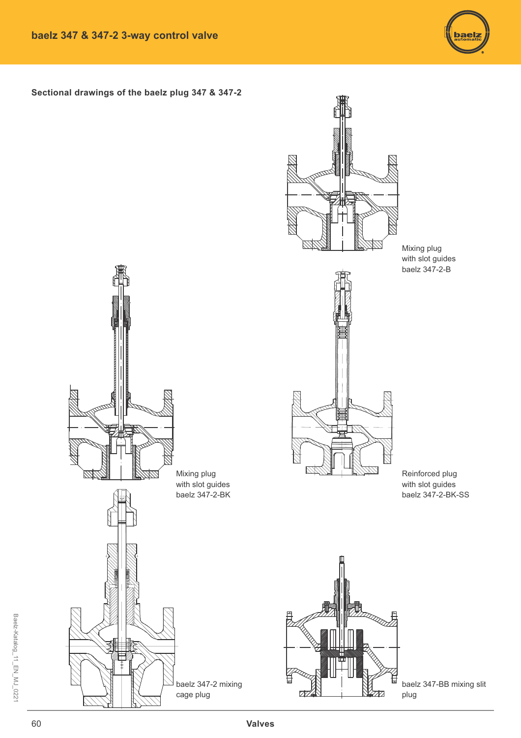

**Sectional drawings of the baelz plug 347 & 347-2** 



baelz 347-BB mixing slit plug